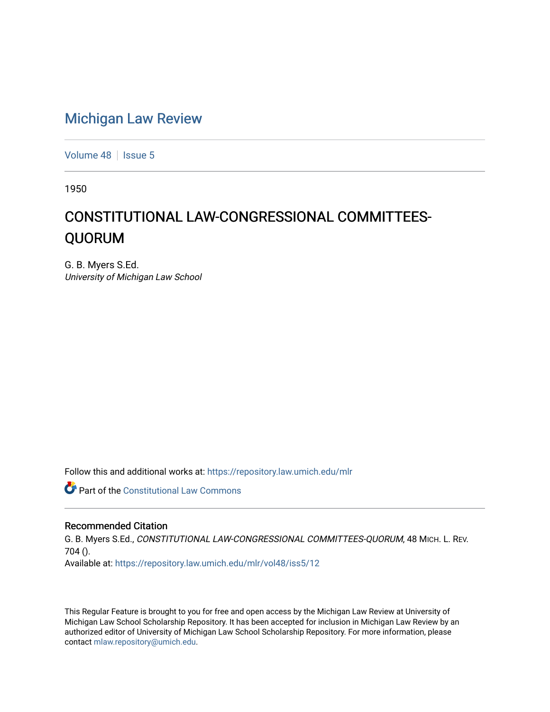## [Michigan Law Review](https://repository.law.umich.edu/mlr)

[Volume 48](https://repository.law.umich.edu/mlr/vol48) | [Issue 5](https://repository.law.umich.edu/mlr/vol48/iss5)

1950

## CONSTITUTIONAL LAW-CONGRESSIONAL COMMITTEES-QUORUM

G. B. Myers S.Ed. University of Michigan Law School

Follow this and additional works at: [https://repository.law.umich.edu/mlr](https://repository.law.umich.edu/mlr?utm_source=repository.law.umich.edu%2Fmlr%2Fvol48%2Fiss5%2F12&utm_medium=PDF&utm_campaign=PDFCoverPages) 

**Part of the Constitutional Law Commons** 

## Recommended Citation

G. B. Myers S.Ed., CONSTITUTIONAL LAW-CONGRESSIONAL COMMITTEES-QUORUM, 48 MICH. L. REV. 704 (). Available at: [https://repository.law.umich.edu/mlr/vol48/iss5/12](https://repository.law.umich.edu/mlr/vol48/iss5/12?utm_source=repository.law.umich.edu%2Fmlr%2Fvol48%2Fiss5%2F12&utm_medium=PDF&utm_campaign=PDFCoverPages) 

This Regular Feature is brought to you for free and open access by the Michigan Law Review at University of Michigan Law School Scholarship Repository. It has been accepted for inclusion in Michigan Law Review by an authorized editor of University of Michigan Law School Scholarship Repository. For more information, please contact [mlaw.repository@umich.edu](mailto:mlaw.repository@umich.edu).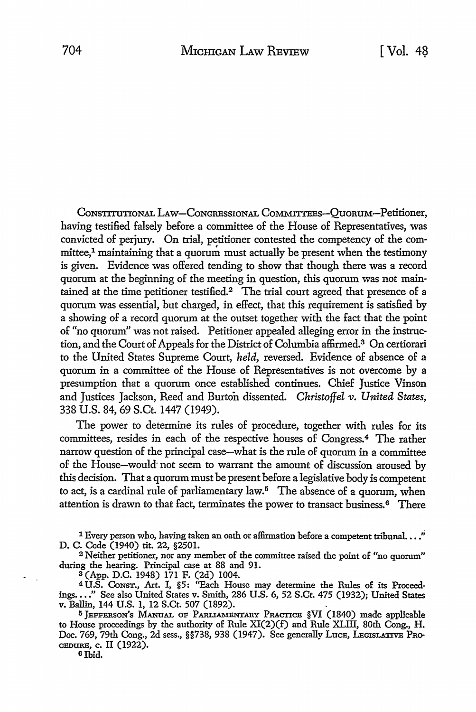CONSTITUTIONAL LAW-CONGRESSIONAL COMMITTEES-QUORUM-Petitioner, having testified falsely before a committee of the House of Representatives, was convicted of perjury. On trial, petitioner contested the competency of the com $mittee<sup>1</sup>$  maintaining that a quorum must actually be present when the testimony is given. Evidence was offered tending to show that though there was a record quorum at the beginning of the meeting in question, this quorum was not maintained at the time petitioner testified.<sup>2</sup> The trial court agreed that presence of a quorum was essential, but charged, in effect, that this requirement is satisfied by a showing of a record quorum at the outset together with the fact that the point of "no quorum" was not raised. Petitioner appealed alleging error in the instruction, and the Court of Appeals for the District of Columbia affirmed. 8 On certiorari to the United States Supreme Court, *held,* reversed. Evidence of absence of a quorum in a committee of the House of Representatives is not overcome by a presumption that a quorum once established continues. Chief Justice Vinson and Justices Jackson, Reed and Burton dissented. *Christoffel v. United. States,*  338 U.S. 84, 69 S.Ct. 1447 (1949).

The power to determine its rules of procedure, together with rules for its committees, resides in each of the respective houses of Congress.<sup>4</sup> The rather narrow question of the principal case-what is the rule of quorum in a committee of the House-would· not seem to warrant the amount of discussion aroused by this decision. That a quorum must be present before a legislative body is competent to act, is a cardinal rule of parliamentary law.<sup>5</sup> The absence of a quorum, when attention is drawn to that fact, terminates the power to transact business. 6 There

<sup>1</sup> Every person who, having taken an oath or affirmation before a competent tribunal.  $\ldots$ " D. C. Code (1940) tit. 22, §2501.

<sup>2</sup>Neither petitioner, nor any member of the committee raised the point of "no quorum" during the hearing. Principal case at 88 and 91.

s (App. D.C. 1948) 171 F. (2d) 1004.

4 U.S. CoNsT., Art. I, §5: "Each House may determine the Rules of its Proceedings .••• " See also United States v. Smith, 286 **U.S.** 6, 52 S.Ct. 475 (1932); United States v. Ballin, 144 U.S. 1, 12 S.Ct. 507 (1892).

5 JEFFERSON'S MANUAL OF PARLIAMENTARY PRACTICE §VI (1840) made applicable to House proceedings by the authority of Rule XI(2)(f) and Rule XLIII, 80th Cong., H. Doc. 769, 79th Cong., 2d sess., §§738, 938 (1947). See generally Luce, LegisLATIve Pro-CEDURE, c. II (1922).

6 Ibid.